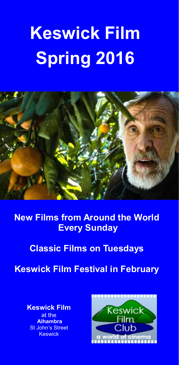# **Keswick Film Spring 2016**



**New Films from Around the World Every Sunday** 

**Classic Films on Tuesdays** 

**Keswick Film Festival in February** 

**Keswick Film**  at the  **Alhambra**  St John's Street **Keswick** 

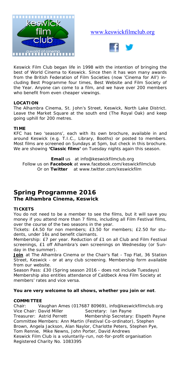

### www.keswickfilmclub.org



Keswick Film Club began life in 1998 with the intention of bringing the best of World Cinema to Keswick. Since then it has won many awards from the British Federation of Film Societies (now 'Cinema for All') including Best Programme four times, Best Website and Film Society of the Year. Anyone can come to a film, and we have over 200 members who benefit from even cheaper viewings.

### **LOCATION**

The Alhambra Cinema, St. John's Street, Keswick, North Lake District. Leave the Market Square at the south end (The Royal Oak) and keep going uphill for 200 metres.

### **TIME**

KFC has two 'seasons', each with its own brochure, available in and around Keswick (e.g. T.I.C., Library, Booths) or posted to members. Most films are screened on Sundays at 5pm, but check in this brochure. We are showing **'Classic films'** on Tuesday nights again this season.

**Email** us at info@keswickfilmclub.org Follow us on **Facebook** at www.facebook.com/keswickfilmclub Or on **Twitter** at www.twitter.com/keswickfilm

### **Spring Programme 2016 The Alhambra Cinema, Keswick**

### **TICKETS**

You do not need to be a member to see the films, but it will save you money if you attend more than 7 films, including all Film Festival films, over the course of the two seasons in the year.

*Tickets:* £4.50 for non members; £3.50 for members; £2.50 for students, under 16s and benefit claimants.

*Membership:* £7 per year. Reduction of £1 on all Club and Film Festival screenings, £1 off Alhambra's own screenings on Wednesday (or Sunday in the summer).

Join at The Alhambra Cinema or the Chair's flat - Top Flat, 36 Station Street, Keswick - or at any club screening. Membership form available from our website.

*Season Pass:* £30 (Spring season 2016 - does not include Tuesdays) Membership also entitles attendance of Caldbeck Area Film Society at members' rates and vice versa.

### **You are very welcome to all shows, whether you join or not**.

### **COMMITTEE**

Chair: Vaughan Ames (017687 80969), info@keswickfilmclub.org Vice Chair: David Miller Secretary: Ian Payne Treasurer: Astrid Perrett Membership Secretary: Elspeth Payne Committee Members: Ann Martin (Festival Co-ordinator), Stephen Brown, Angela Jackson, Alan Naylor, Charlotte Peters, Stephen Pye, Tom Rennie, Mike Newns, John Porter, David Andrews *Keswick Film Club is a voluntarily-run, not-for-profit organisation Registered Charity No. 1083395*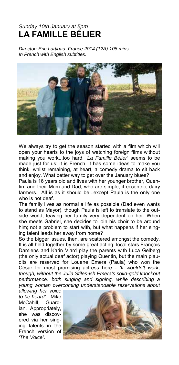## *Sunday 10th January at 5pm*  **LA FAMILLE BÉLIER**

*Director: Eric Lartigau. France 2014 (12A) 106 mins. In French with English subtitles.* 



We always try to get the season started with a film which will open your hearts to the joys of watching foreign films without making you work...too hard. *'La Famille Bélier'* seems to be made just for us; it is French, it has some ideas to make you think, whilst remaining, at heart, a comedy drama to sit back and enjoy. What better way to get over the January blues?

Paula is 16 years old and lives with her younger brother, Quentin, and their Mum and Dad, who are simple, if eccentric, dairy farmers. All is as it should be...except Paula is the only one who is not deaf.

The family lives as normal a life as possible (Dad even wants to stand as Mayor), though Paula is left to translate to the outside world, leaving her family very dependent on her. When she meets Gabriel, she decides to join his choir to be around him; not a problem to start with, but what happens if her singing talent leads her away from home?

So the bigger issues, then, are scattered amongst the comedy. It is all held together by some great acting: local stars François Damiens and Karin Viard play the parents with Luca Gelberg (the only actual deaf actor) playing Quentin, but the main plaudits are reserved for Louane Emera (Paula) who won the César for most promising actress here - *'It wouldn't work, though, without the Julia Stiles-ish Emera's solid-gold knockout performance: both singing and signing, while describing a young woman overcoming understandable reservations about* 

*allowing her voice to be heard' -* Mike McCahill, Guardian. Appropriately, she was discovered via her singing talents in the French version of *'The Voice'*.

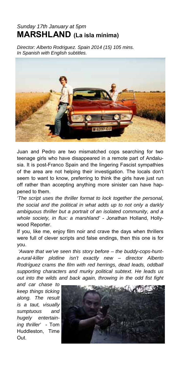## *Sunday 17th January at 5pm*  **MARSHLAND (La isla mínima)**

*Director: Alberto Rodriguez. Spain 2014 (15) 105 mins. In Spanish with English subtitles.* 



Juan and Pedro are two mismatched cops searching for two teenage girls who have disappeared in a remote part of Andalusia. It is post-Franco Spain and the lingering Fascist sympathies of the area are not helping their investigation. The locals don't seem to want to know, preferring to think the girls have just run off rather than accepting anything more sinister can have happened to them.

*'The script uses the thriller format to lock together the personal, the social and the political in what adds up to not only a darkly ambiguous thriller but a portrait of an isolated community, and a whole society, in flux: a marshland'* - Jonathan Holland, Hollywood Reporter.

If you, like me, enjoy film noir and crave the days when thrillers were full of clever scripts and false endings, then this one is for you.

*'Aware that we've seen this story before – the buddy-cops-hunta-rural-killer plotline isn't exactly new – director Alberto Rodríguez crams the film with red herrings, dead leads, oddball supporting characters and murky political subtext. He leads us out into the wilds and back again, throwing in the odd fist fight* 

*and car chase to keep things ticking along. The result is a taut, visually sumptuous and hugely entertaining thriller'* - Tom Huddleston, Time Out.

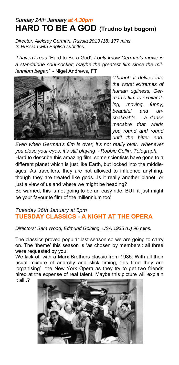## *Sunday 24th January at 4.30pm* **HARD TO BE A GOD (Trudno byt bogom)**

*Director: Aleksey German. Russia 2013 (18) 177 mins. In Russian with English subtitles.* 

*'I haven't read '*Hard to Be a God'*; I only know German's movie is a standalone soul-socker; maybe the greatest film since the millennium began'* - Nigel Andrews, FT



*'Though it delves into the worst extremes of human ugliness, German's film is exhilarating, moving, funny, beautiful and unshakeable – a danse macabre that whirls you round and round until the bitter end.* 

*Even when German's film is over, it's not really over. Whenever you close your eyes, it's still playing' - Robbie Collin, Telegraph.* 

Hard to describe this amazing film; some scientists have gone to a different planet which is just like Earth, but locked into the middleages. As travellers, they are not allowed to influence anything, though they are treated like gods...Is it really another planet, or just a view of us and where we might be heading?

Be warned, this is not going to be an easy ride; BUT it just might be your favourite film of the millennium too!

### *Tuesday 26th January at 5pm*  **TUESDAY CLASSICS - A NIGHT AT THE OPERA**

*Directors: Sam Wood, Edmund Golding. USA 1935 (U) 96 mins.* 

The classics proved popular last season so we are going to carry on. The 'theme' this season is 'as chosen by members': all three were requested by you!

We kick off with a Marx Brothers classic from 1935. With all their usual mixture of anarchy and slick timing, this time they are 'organising' the New York Opera as they try to get two friends hired at the expense of real talent. Maybe this picture will explain it all..?

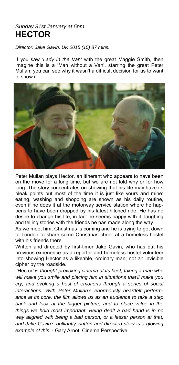## *Sunday 31st January at 5pm*  **HECTOR**

*Director: Jake Gavin. UK 2015 (15) 87 mins.* 

If you saw *'Lady in the Van'* with the great Maggie Smith, then imagine this is a 'Man without a Van', starring the great Peter Mullan; you can see why it wasn't a difficult decision for us to want to show it.



Peter Mullan plays Hector, an itinerant who appears to have been on the move for a long time, but we are not told why or for how long. The story concentrates on showing that his life may have its bleak points but most of the time it is just like yours and mine: eating, washing and shopping are shown as his daily routine, even if he does it at the motorway service station where he happens to have been dropped by his latest hitched ride. He has no desire to change his life, in fact he seems happy with it, laughing and telling stories with the friends he has made along the way.

As we meet him, Christmas is coming and he is trying to get down to London to share some Christmas cheer at a homeless hostel with his friends there.

Written and directed by first-timer Jake Gavin, who has put his previous experience as a reporter and homeless hostel volunteer into showing Hector as a likeable, ordinary man, not an invisible cipher by the roadside.

*''*Hector*' is thought-provoking cinema at its best, taking a man who will make you smile and placing him in situations that'll make you cry, and evoking a host of emotions through a series of social interactions. With Peter Mullan's enormously heartfelt performance at its core, the film allows us as an audience to take a step back and look at the bigger picture, and to place value in the things we hold most important. Being dealt a bad hand is in no way aligned with being a bad person, or a lesser person at that, and Jake Gavin's brilliantly written and directed story is a glowing example of this' -* Gary Arnot, Cinema Perspective.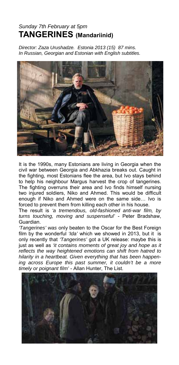## *Sunday 7th February at 5pm*  **TANGERINES (Mandariinid)**

*Director: Zaza Urushadze. Estonia 2013 (15) 87 mins. In Russian, Georgian and Estonian with English subtitles.* 



It is the 1990s, many Estonians are living in Georgia when the civil war between Georgia and Abkhazia breaks out. Caught in the fighting, most Estonians flee the area, but Ivo stays behind to help his neighbour Margus harvest the crop of tangerines. The fighting overruns their area and Ivo finds himself nursing two injured soldiers, Niko and Ahmed. This would be difficult enough if Niko and Ahmed were on the same side… Ivo is forced to prevent them from killing each other in his house.

The result is *'a tremendous, old-fashioned anti-war film, by turns touching, moving and suspenseful'* - Peter Bradshaw, Guardian.

*'Tangerines' was* only beaten to the Oscar for the Best Foreign film by the wonderful *'Ida'* which we showed in 2013, but it is only recently that *'Tangerines'* got a UK release: maybe this is just as well as *'it contains moments of great joy and hope as it reflects the way heightened emotions can shift from hatred to hilarity in a heartbeat. Given everything that has been happening across Europe this past summer, it couldn't be a more timely or poignant film'* - Allan Hunter, The List.

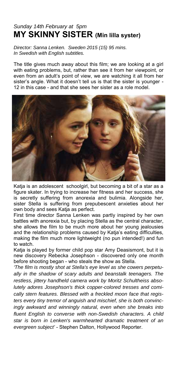## *Sunday 14th February at 5pm*  **MY SKINNY SISTER (Min lilla syster)**

*Director: Sanna Lenken. Sweden 2015 (15) 95 mins. In Swedish with English subtitles.* 

The title gives much away about this film; we are looking at a girl with eating problems, but, rather than see it from her viewpoint, or even from an adult's point of view, we are watching it all from her sister's angle. What it doesn't tell us is that the sister is younger - 12 in this case - and that she sees her sister as a role model.



Katja is an adolescent schoolgirl, but becoming a bit of a star as a figure skater. In trying to increase her fitness and her success, she is secretly suffering from anorexia and bulimia. Alongside her, sister Stella is suffering from prepubescent anxieties about her own body and sees Katja as perfect.

First time director Sanna Lenken was partly inspired by her own battles with anorexia but, by placing Stella as the central character, she allows the film to be much more about her young jealousies and the relationship problems caused by Katja's eating difficulties, making the film much more lightweight (no pun intended!) and fun to watch.

Katja is played by former child pop star Amy Deasismont, but it is new discovery Rebecka Josephson - discovered only one month before shooting began - who steals the show as Stella.

*'The film is mostly shot at Stella's eye level as she cowers perpetually in the shadow of scary adults and beanstalk teenagers. The restless, jittery handheld camera work by Moritz Schultheiss absolutely adores Josephson's thick copper-colored tresses and comically stern features. Blessed with a freckled moon face that registers every tiny tremor of anguish and mischief, she is both convincingly awkward and winningly natural, even when she breaks into fluent English to converse with non-Swedish characters. A child star is born in Lenken's warmhearted dramatic treatment of an evergreen subject'* - Stephen Dalton, Hollywood Reporter.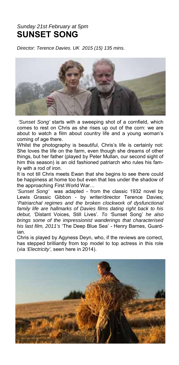## *Sunday 21st February at 5pm*  **SUNSET SONG**

*Director: Terence Davies. UK 2015 (15) 135 mins.* 



*'Sunset Song'* starts with a sweeping shot of a cornfield, which comes to rest on Chris as she rises up out of the corn: we are about to watch a film about country life and a young woman's coming of age there.

Whilst the photography is beautiful, Chris's life is certainly not: She loves the life on the farm, even though she dreams of other things, but her father (played by Peter Mullan, our second sight of him this season) is an old fashioned patriarch who rules his family with a rod of iron.

It is not till Chris meets Ewan that she begins to see there could be happiness at home too but even that lies under the shadow of the approaching First World War…

*'Sunset Song'* was adapted - from the classic 1932 novel by Lewis Grassic Gibbon - by writer/director Terence Davies; '*Patriarchal regimes and the broken clockwork of dysfunctional family life are hallmarks of Davies films dating right back to his debut,* 'Distant Voices, Still Lives'*. To '*Sunset Song' *he also brings some of the impressionist wanderings that characterised his last film, 2011's* 'The Deep Blue Sea' - Henry Barnes, Guardian.

Chris is played by Agyness Deyn, who, if the reviews are correct, has stepped brilliantly from top model to top actress in this role (via *'Electricity'*, seen here in 2014).

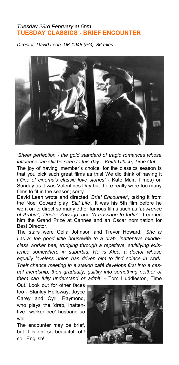### *Tuesday 23rd February at 5pm*  **TUESDAY CLASSICS - BRIEF ENCOUNTER**

*Director: David Lean. UK 1945 (PG) 86 mins.* 



*'Sheer perfection - the gold standard of tragic romances whose influence can still be seen to this day' - Keith Ulhich, Time Out.* 

The joy of having 'member's choice' for the classics season is that you pick such great films as this! We did think of having it ('*One of cinema's classic love stories'* - Kate Muir, Times) on Sunday as it was Valentines Day but there really were too many films to fit in the season; sorry.

David Lean wrote and directed *'Brief Encounter'*, taking it from the Noel Coward play *'Still Life'*. It was his 5th film before he went on to direct so many other famous films such as '*Lawrence of Arabia', 'Doctor Zhivago'* and *'A Passage to India'*. It earned him the Grand Prize at Cannes and an Oscar nomination for Best Director.

The stars were Celia Johnson and Trevor Howard; '*She is Laura: the good little housewife to a drab, inattentive middleclass worker bee, trudging through a repetitive, stultifying existence somewhere in suburbia. He is Alec: a doctor whose equally loveless union has driven him to find solace in work. Their chance meeting in a station café develops first into a casual friendship, then gradually, guiltily into something neither of them can fully understand or admit'* - Tom Huddleston, Time

Out. Look out for other faces too - Stanley Holloway, Joyce Carey and Cyril Raymond, who plays the 'drab, inattentive worker bee' husband so well.

The encounter may be brief, but it is oh! so beautiful, oh! so...English!

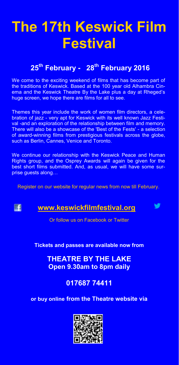## **The 17th Keswick Film Festival**

## **25th February - 28th February 2016**

We come to the exciting weekend of films that has become part of the traditions of Keswick. Based at the 100 year old Alhambra Cinema and the Keswick Theatre By the Lake plus a day at Rheged's huge screen, we hope there are films for all to see.

Themes this year include the work of women film directors, a celebration of jazz - very apt for Keswick with its well known Jazz Festival -and an exploration of the relationship between film and memory. There will also be a showcase of the 'Best of the Fests' - a selection of award-winning films from prestigious festivals across the globe, such as Berlin, Cannes, Venice and Toronto.

We continue our relationship with the Keswick Peace and Human Rights group, and the Osprey Awards will again be given for the best short films submitted. And, as usual, we will have some surprise guests along…

Register on our website for regular news from now till February.

**IEE** 

### **www.keswickfilmfestival.org**



Or follow us on Facebook or Twitter

**Tickets and passes are available now from** 

**THEATRE BY THE LAKE Open 9.30am to 8pm daily** 

**017687 74411** 

**or buy online from the Theatre website via**

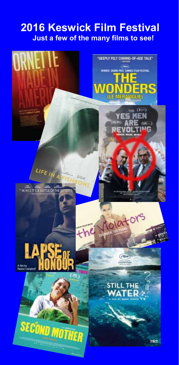## **2016 Keswick Film Festival Just a few of the many films to see!**

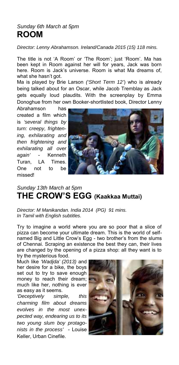## *Sunday 6th March at 5pm*  **ROOM**

*Director: Lenny Abrahamson. Ireland/Canada 2015 (15) 118 mins.* 

The title is not 'A Room' or 'The Room'; just 'Room'. Ma has been kept in Room against her will for years, Jack was born here. Room is Jack's universe. Room is what Ma dreams of, what she hasn't got.

Ma is played by Brie Larson *('Short Term 12'*) who is already being talked about for an Oscar, while Jacob Tremblay as Jack gets equally loud plaudits. With the screenplay by Emma Donoghue from her own Booker-shortlisted book, Director Lenny

Abrahamson has created a film which is *'several things by turn: creepy, frightening, exhilarating and then frightening and exhilarating all over again'* - Kenneth Turan, LA Times. One not to be missed!



## *Sunday 13th March at 5pm*  **THE CROW'S EGG (Kaakkaa Muttai)**

*Director: M Manikandan. India 2014 (PG) 91 mins. In Tamil with English subtitles.* 

Try to imagine a world where you are so poor that a slice of pizza can become your ultimate dream. This is the world of selfnamed Big and Little Crow's Egg - two brother's from the slums of Chennai. Scraping an existence the best they can, their lives are changed by the opening of a pizza shop: all they want is to try the mysterious food.

Much like *'Wadjda' (2013)* and her desire for a bike, the boys set out to try to save enough money to reach their dream; much like her, nothing is ever as easy as it seems.

*'Deceptively simple, this charming film about dreams evolves in the most unexpected way, endearing us to its two young slum boy protagonists in the process'* - Louise Keller, Urban Cinefile.

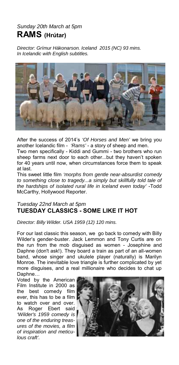## *Sunday 20th March at 5pm*  **RAMS (Hrútar)**

*Director: Grímur Hákonarson. Iceland 2015 (NC) 93 mins. In Icelandic with English subtitles.* 



After the success of 2014's *'Of Horses and Men'* we bring you another Icelandic film - *'Rams'* - a story of sheep and men.

Two men specifically - Kiddi and Gummi - two brothers who run sheep farms next door to each other...but they haven't spoken for 40 years until now, when circumstances force them to speak at last.

This sweet little film *'morphs from gentle near-absurdist comedy to something close to tragedy...a simply but skillfully told tale of the hardships of isolated rural life in Iceland even today'* -Todd McCarthy, Hollywood Reporter.

### *Tuesday 22nd March at 5pm*  **TUESDAY CLASSICS - SOME LIKE IT HOT**

*Director: Billy Wilder. USA 1959 (12) 120 mins.* 

For our last classic this season, we go back to comedy with Billy Wilder's gender-buster. Jack Lemmon and Tony Curtis are on the run from the mob disguised as women - Josephine and Daphne (don't ask!). They board a train as part of an all-women band, whose singer and ukulele player (naturally) is Marilyn Monroe. The inevitable love triangle is further complicated by yet more disguises, and a real millionaire who decides to chat up Daphne…

Voted by the American Film Institute in 2000 as the best comedy film ever, this has to be a film to watch over and over. As Roger Ebert said *'Wilder's 1959 comedy is one of the enduring treasures of the movies, a film of inspiration and meticulous craft'.*

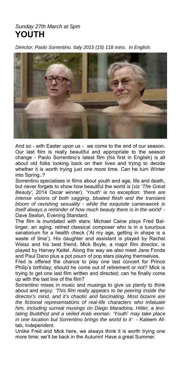### *Sunday 27th March at 5pm*  **YOUTH**

*Director: Paolo Sorrentino. Italy 2015 (15) 118 mins. In English.* 



And so - with Easter upon us - we come to the end of our season. Our last film is really beautiful and appropriate to the season change - Paolo Sorrentino's latest film (his first in English) is all about old folks looking back on their lives and trying to decide whether it is worth trying just one more time. Can he turn Winter into Spring..?

Sorrentino specialises in films about youth and age, life and death, but never forgets to show how beautiful the world is (viz *'The Great Beauty'*, 2014 Oscar winner). *'Youth'* is no exception: *'there are intense visions of both sagging, bloated flesh and the transient bloom of ravishing sexuality - while the exquisite camerawork is itself always a reminder of how much beauty there is in the world' -*  Dave Sexton, Evening Standard.

The film is inundated with stars: Michael Caine plays Fred Ballinger, an aging, retired classical composer who is in a luxurious sanatorium for a health check ('At my age, getting in shape is a waste of time'). His daughter and assistant is played by Rachel Weisz and his best friend, Mick Boyle, a major film director, is played by Harvey Keitel. Along the way we also meet Jane Fonda and Paul Dano plus a pot pourri of pop stars playing themselves.

Fred is offered the chance to play one last concert for Prince Philip's birthday; should he come out of retirement or not? Mick is trying to get one last film written and directed; can he finally come up with the last line of the film?

Sorrentino mixes in music and musings to give us plenty to think about and enjoy: *'This film really appears to be peering inside the director's mind, and it's chaotic and fascinating. Most bizarre are the fictional representations of real-life characters who infatuate him, including surreal musings on Diego Maradona, Hitler, a levitating Buddhist and a veiled Arab woman.* 'Youth' *may take place in one location but Sorrentino brings the world to it'* - Kaleem Aftab, Independent.

Unlike Fred and Mick here, we always think it is worth trying one more time; we'll be back in the Autumn! Have a great Summer.